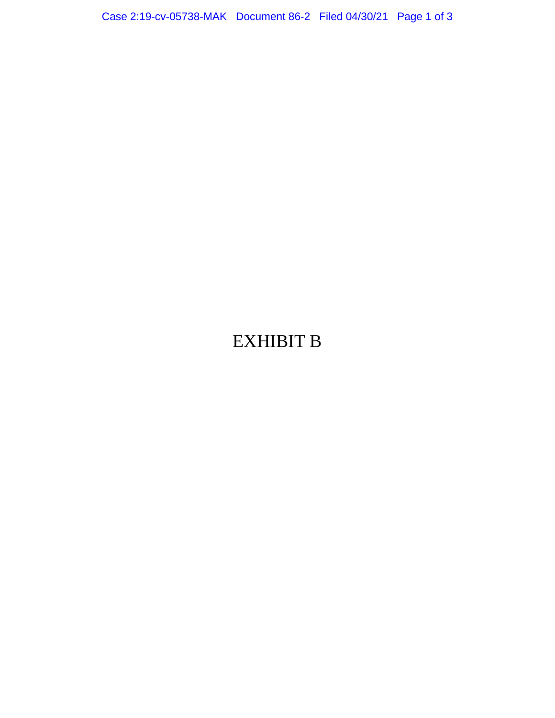Case 2:19-cv-05738-MAK Document 86-2 Filed 04/30/21 Page 1 of 3

## EXHIBIT B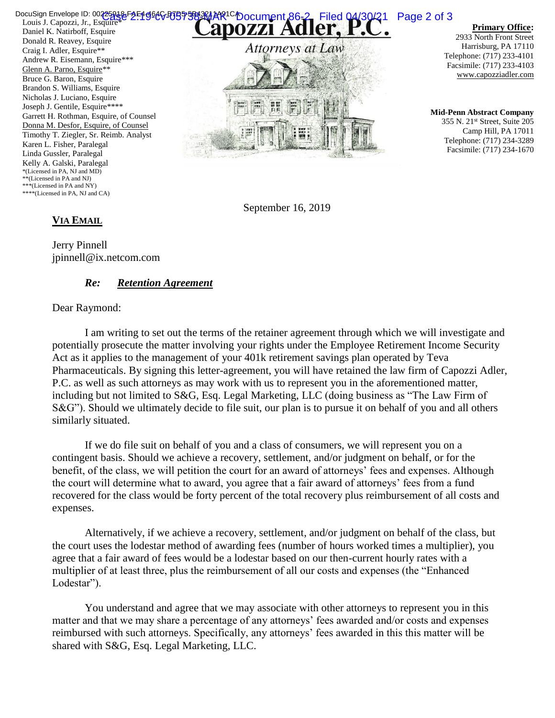Louis J. Capozzi, Jr., Esquire\* Daniel K. Natirboff, Esquire Donald R. Reavey, Esquire Craig I. Adler, Esquire\*\* Andrew R. Eisemann, Esquire\*\*\* Glenn A. Parno, Esquire\*\* Bruce G. Baron, Esquire Brandon S. Williams, Esquire Nicholas J. Luciano, Esquire Joseph J. Gentile, Esquire\*\*\*\* Garrett H. Rothman, Esquire, of Counsel Donna M. Desfor, Esquire, of Counsel Timothy T. Ziegler, Sr. Reimb. Analyst Karen L. Fisher, Paralegal Linda Gussler, Paralegal Kelly A. Galski, Paralegal \*(Licensed in PA, NJ and MD) \*\*(Licensed in PA and NJ) \*\*\*(Licensed in PA and NY) \*\*\*\*(Licensed in PA, NJ and CA) DocuSign Envelope ID: 00225818-F2-F19666-B7B7-5813201AR1CA Occument 86-2 Filed 04/30/21 Page 2 of 3



**Primary Office:**

2933 North Front Street Harrisburg, PA 17110 Telephone: (717) 233-4101 Facsimile: (717) 233-4103 www.capozziadler.com

**Mid-Penn Abstract Company** 355 N. 21st Street, Suite 205 Camp Hill, PA 17011 Telephone: (717) 234-3289 Facsimile: (717) 234-1670

September 16, 2019

## **VIA EMAIL**

Jerry Pinnell jpinnell@ix.netcom.com

## *Re: Retention Agreement*

## Dear Raymond:

I am writing to set out the terms of the retainer agreement through which we will investigate and potentially prosecute the matter involving your rights under the Employee Retirement Income Security Act as it applies to the management of your 401k retirement savings plan operated by Teva Pharmaceuticals. By signing this letter-agreement, you will have retained the law firm of Capozzi Adler, P.C. as well as such attorneys as may work with us to represent you in the aforementioned matter, including but not limited to S&G, Esq. Legal Marketing, LLC (doing business as "The Law Firm of S&G"). Should we ultimately decide to file suit, our plan is to pursue it on behalf of you and all others similarly situated.

If we do file suit on behalf of you and a class of consumers, we will represent you on a contingent basis. Should we achieve a recovery, settlement, and/or judgment on behalf, or for the benefit, of the class, we will petition the court for an award of attorneys' fees and expenses. Although the court will determine what to award, you agree that a fair award of attorneys' fees from a fund recovered for the class would be forty percent of the total recovery plus reimbursement of all costs and expenses.

Alternatively, if we achieve a recovery, settlement, and/or judgment on behalf of the class, but the court uses the lodestar method of awarding fees (number of hours worked times a multiplier), you agree that a fair award of fees would be a lodestar based on our then-current hourly rates with a multiplier of at least three, plus the reimbursement of all our costs and expenses (the "Enhanced Lodestar").

You understand and agree that we may associate with other attorneys to represent you in this matter and that we may share a percentage of any attorneys' fees awarded and/or costs and expenses reimbursed with such attorneys. Specifically, any attorneys' fees awarded in this this matter will be shared with S&G, Esq. Legal Marketing, LLC.